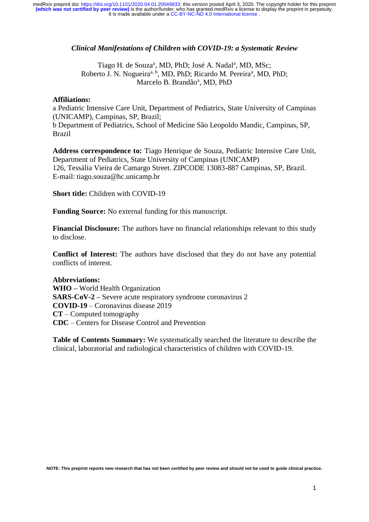## *Clinical Manifestations of Children with COVID-19: a Systematic Review*

Tiago H. de Souza<sup>a</sup>, MD, PhD; José A. Nadal<sup>a</sup>, MD, MSc; Roberto J. N. Nogueira<sup>a, b</sup>, MD, PhD; Ricardo M. Pereira<sup>a</sup>, MD, PhD; Marcelo B. Brandão<sup>a</sup>, MD, PhD

## **Affiliations:**

a Pediatric Intensive Care Unit, Department of Pediatrics, State University of Campinas (UNICAMP), Campinas, SP, Brazil;

b Department of Pediatrics, School of Medicine São Leopoldo Mandic, Campinas, SP, Brazil

**Address correspondence to:** Tiago Henrique de Souza, Pediatric Intensive Care Unit, Department of Pediatrics, State University of Campinas (UNICAMP) 126, Tessália Vieira de Camargo Street. ZIPCODE 13083-887 Campinas, SP, Brazil. E-mail: tiago.souza@hc.unicamp.br

**Short title:** Children with COVID-19

**Funding Source:** No external funding for this manuscript.

**Financial Disclosure:** The authors have no financial relationships relevant to this study to disclose.

**Conflict of Interest:** The authors have disclosed that they do not have any potential conflicts of interest.

## **Abbreviations:**

**WHO –** World Health Organization **SARS-CoV-2 –** Severe acute respiratory syndrome coronavirus 2 **COVID-19** – Coronavirus disease 2019 **CT** – Computed tomography **CDC** – Centers for Disease Control and Prevention

**Table of Contents Summary:** We systematically searched the literature to describe the clinical, laboratorial and radiological characteristics of children with COVID-19.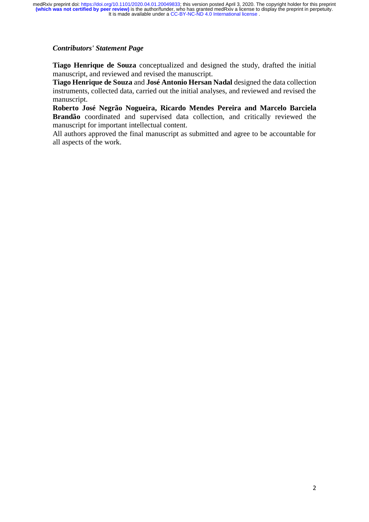## *Contributors' Statement Page*

**Tiago Henrique de Souza** conceptualized and designed the study, drafted the initial manuscript, and reviewed and revised the manuscript.

**Tiago Henrique de Souza** and **José Antonio Hersan Nadal** designed the data collection instruments, collected data, carried out the initial analyses, and reviewed and revised the manuscript.

**Roberto José Negrão Nogueira, Ricardo Mendes Pereira and Marcelo Barciela Brandão** coordinated and supervised data collection, and critically reviewed the manuscript for important intellectual content.

All authors approved the final manuscript as submitted and agree to be accountable for all aspects of the work.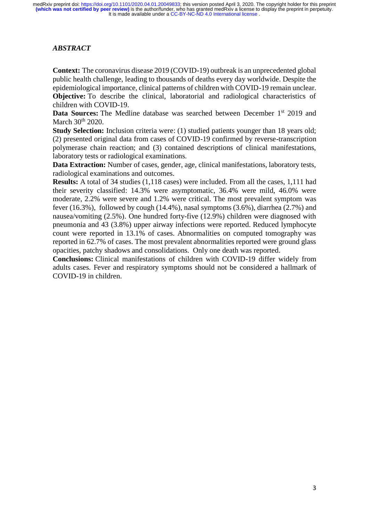# *ABSTRACT*

**Context:** The coronavirus disease 2019 (COVID-19) outbreak is an unprecedented global public health challenge, leading to thousands of deaths every day worldwide. Despite the epidemiological importance, clinical patterns of children with COVID-19 remain unclear. **Objective:** To describe the clinical, laboratorial and radiological characteristics of children with COVID-19.

**Data Sources:** The Medline database was searched between December 1<sup>st</sup> 2019 and March 30<sup>th</sup> 2020.

**Study Selection:** Inclusion criteria were: (1) studied patients younger than 18 years old; (2) presented original data from cases of COVID-19 confirmed by reverse-transcription polymerase chain reaction; and (3) contained descriptions of clinical manifestations, laboratory tests or radiological examinations.

**Data Extraction:** Number of cases, gender, age, clinical manifestations, laboratory tests, radiological examinations and outcomes.

**Results:** A total of 34 studies (1,118 cases) were included. From all the cases, 1,111 had their severity classified: 14.3% were asymptomatic, 36.4% were mild, 46.0% were moderate, 2.2% were severe and 1.2% were critical. The most prevalent symptom was fever (16.3%), followed by cough (14.4%), nasal symptoms (3.6%), diarrhea (2.7%) and nausea/vomiting (2.5%). One hundred forty-five (12.9%) children were diagnosed with pneumonia and 43 (3.8%) upper airway infections were reported. Reduced lymphocyte count were reported in 13.1% of cases. Abnormalities on computed tomography was reported in 62.7% of cases. The most prevalent abnormalities reported were ground glass opacities, patchy shadows and consolidations. Only one death was reported.

**Conclusions:** Clinical manifestations of children with COVID-19 differ widely from adults cases. Fever and respiratory symptoms should not be considered a hallmark of COVID-19 in children.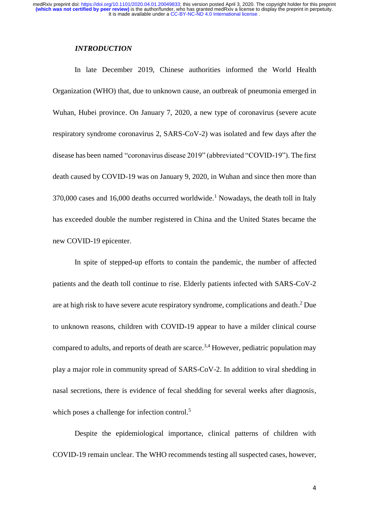It is made available under a [CC-BY-NC-ND 4.0 International license](http://creativecommons.org/licenses/by-nc-nd/4.0/) . medRxiv preprint doi: [https://doi.org/10.1101/2020.04.01.20049833;](https://doi.org/10.1101/2020.04.01.20049833) this version posted April 3, 2020. The copyright holder for this preprint<br>(which was not certified by peer review) is the author/funder, who has granted me

### *INTRODUCTION*

 In late December 2019, Chinese authorities informed the World Health Organization (WHO) that, due to unknown cause, an outbreak of pneumonia emerged in Wuhan, Hubei province. On January 7, 2020, a new type of coronavirus (severe acute respiratory syndrome coronavirus 2, SARS-CoV-2) was isolated and few days after the disease has been named "coronavirus disease 2019" (abbreviated "COVID-19"). The first death caused by COVID-19 was on January 9, 2020, in Wuhan and since then more than  $370,000$  cases and 16,000 deaths occurred worldwide.<sup>1</sup> Nowadays, the death toll in Italy has exceeded double the number registered in China and the United States became the new COVID-19 epicenter.

 In spite of stepped-up efforts to contain the pandemic, the number of affected patients and the death toll continue to rise. Elderly patients infected with SARS-CoV-2 are at high risk to have severe acute respiratory syndrome, complications and death. $2$  Due to unknown reasons, children with COVID-19 appear to have a milder clinical course compared to adults, and reports of death are scarce.<sup>3,4</sup> However, pediatric population may play a major role in community spread of SARS-CoV-2. In addition to viral shedding in nasal secretions, there is evidence of fecal shedding for several weeks after diagnosis, which poses a challenge for infection control.<sup>5</sup>

Despite the epidemiological importance, clinical patterns of children with COVID-19 remain unclear. The WHO recommends testing all suspected cases, however,

4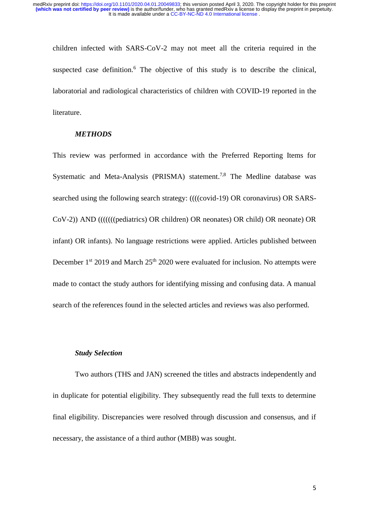children infected with SARS-CoV-2 may not meet all the criteria required in the suspected case definition.<sup>6</sup> The objective of this study is to describe the clinical, laboratorial and radiological characteristics of children with COVID-19 reported in the literature.

### *METHODS*

This review was performed in accordance with the Preferred Reporting Items for Systematic and Meta-Analysis (PRISMA) statement.<sup>7,8</sup> The Medline database was searched using the following search strategy: ((((covid-19) OR coronavirus) OR SARS-CoV-2)) AND (((((((pediatrics) OR children) OR neonates) OR child) OR neonate) OR infant) OR infants). No language restrictions were applied. Articles published between December  $1<sup>st</sup>$  2019 and March  $25<sup>th</sup>$  2020 were evaluated for inclusion. No attempts were made to contact the study authors for identifying missing and confusing data. A manual search of the references found in the selected articles and reviews was also performed.

#### *Study Selection*

Two authors (THS and JAN) screened the titles and abstracts independently and in duplicate for potential eligibility. They subsequently read the full texts to determine final eligibility. Discrepancies were resolved through discussion and consensus, and if necessary, the assistance of a third author (MBB) was sought.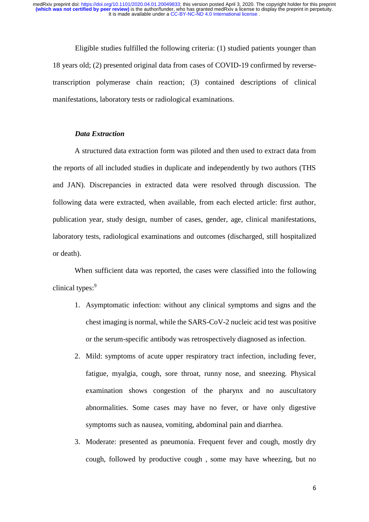Eligible studies fulfilled the following criteria: (1) studied patients younger than 18 years old; (2) presented original data from cases of COVID-19 confirmed by reversetranscription polymerase chain reaction; (3) contained descriptions of clinical manifestations, laboratory tests or radiological examinations.

## *Data Extraction*

A structured data extraction form was piloted and then used to extract data from the reports of all included studies in duplicate and independently by two authors (THS and JAN). Discrepancies in extracted data were resolved through discussion. The following data were extracted, when available, from each elected article: first author, publication year, study design, number of cases, gender, age, clinical manifestations, laboratory tests, radiological examinations and outcomes (discharged, still hospitalized or death).

When sufficient data was reported, the cases were classified into the following clinical types:<sup>9</sup>

- 1. Asymptomatic infection: without any clinical symptoms and signs and the chest imaging is normal, while the SARS-CoV-2 nucleic acid test was positive or the serum-specific antibody was retrospectively diagnosed as infection.
- 2. Mild: symptoms of acute upper respiratory tract infection, including fever, fatigue, myalgia, cough, sore throat, runny nose, and sneezing. Physical examination shows congestion of the pharynx and no auscultatory abnormalities. Some cases may have no fever, or have only digestive symptoms such as nausea, vomiting, abdominal pain and diarrhea.
- 3. Moderate: presented as pneumonia. Frequent fever and cough, mostly dry cough, followed by productive cough , some may have wheezing, but no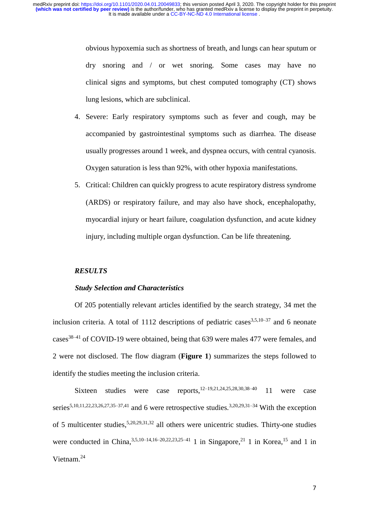obvious hypoxemia such as shortness of breath, and lungs can hear sputum or dry snoring and / or wet snoring. Some cases may have no clinical signs and symptoms, but chest computed tomography (CT) shows lung lesions, which are subclinical.

- 4. Severe: Early respiratory symptoms such as fever and cough, may be accompanied by gastrointestinal symptoms such as diarrhea. The disease usually progresses around 1 week, and dyspnea occurs, with central cyanosis. Oxygen saturation is less than 92%, with other hypoxia manifestations.
- 5. Critical: Children can quickly progress to acute respiratory distress syndrome (ARDS) or respiratory failure, and may also have shock, encephalopathy, myocardial injury or heart failure, coagulation dysfunction, and acute kidney injury, including multiple organ dysfunction. Can be life threatening.

## *RESULTS*

#### *Study Selection and Characteristics*

Of 205 potentially relevant articles identified by the search strategy, 34 met the inclusion criteria. A total of 1112 descriptions of pediatric cases  $3,5,10-37$  and 6 neonate  $\text{cases}^{38-41}$  of COVID-19 were obtained, being that 639 were males 477 were females, and 2 were not disclosed. The flow diagram (**Figure 1**) summarizes the steps followed to identify the studies meeting the inclusion criteria.

Sixteen studies were case reports,<sup>12–19,21,24,25,28,30,38–40</sup> 11 were case series<sup>5,10,11,22,23,26,27,35–37,41</sup> and 6 were retrospective studies.<sup>3,20,29,31–34</sup> With the exception of 5 multicenter studies,  $5,20,29,31,32$  all others were unicentric studies. Thirty-one studies were conducted in China,  $3,5,10-14,16-20,22,23,25-41$  1 in Singapore,  $21$  1 in Korea,  $15$  and 1 in Vietnam.<sup>24</sup>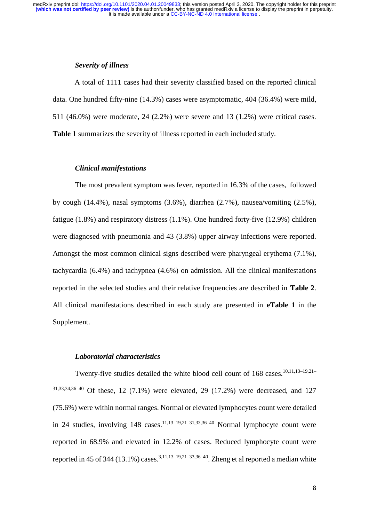It is made available under a [CC-BY-NC-ND 4.0 International license](http://creativecommons.org/licenses/by-nc-nd/4.0/) . medRxiv preprint doi: [https://doi.org/10.1101/2020.04.01.20049833;](https://doi.org/10.1101/2020.04.01.20049833) this version posted April 3, 2020. The copyright holder for this preprint<br>(which was not certified by peer review) is the author/funder, who has granted me

### *Severity of illness*

A total of 1111 cases had their severity classified based on the reported clinical data. One hundred fifty-nine (14.3%) cases were asymptomatic, 404 (36.4%) were mild, 511 (46.0%) were moderate, 24 (2.2%) were severe and 13 (1.2%) were critical cases. **Table 1** summarizes the severity of illness reported in each included study.

### *Clinical manifestations*

The most prevalent symptom was fever, reported in 16.3% of the cases, followed by cough (14.4%), nasal symptoms (3.6%), diarrhea (2.7%), nausea/vomiting (2.5%), fatigue (1.8%) and respiratory distress (1.1%). One hundred forty-five (12.9%) children were diagnosed with pneumonia and 43 (3.8%) upper airway infections were reported. Amongst the most common clinical signs described were pharyngeal erythema (7.1%), tachycardia (6.4%) and tachypnea (4.6%) on admission. All the clinical manifestations reported in the selected studies and their relative frequencies are described in **Table 2**. All clinical manifestations described in each study are presented in **eTable 1** in the Supplement.

#### *Laboratorial characteristics*

Twenty-five studies detailed the white blood cell count of 168 cases.10,11,13–19,21– 31,33,34,36–40 Of these, 12 (7.1%) were elevated, 29 (17.2%) were decreased, and 127 (75.6%) were within normal ranges. Normal or elevated lymphocytes count were detailed in 24 studies, involving  $148$  cases.<sup>11,13–19,21–31,33,36–40</sup> Normal lymphocyte count were reported in 68.9% and elevated in 12.2% of cases. Reduced lymphocyte count were reported in 45 of 344 (13.1%) cases.<sup>3,11,13–19,21–33,36–40</sup>. Zheng et al reported a median white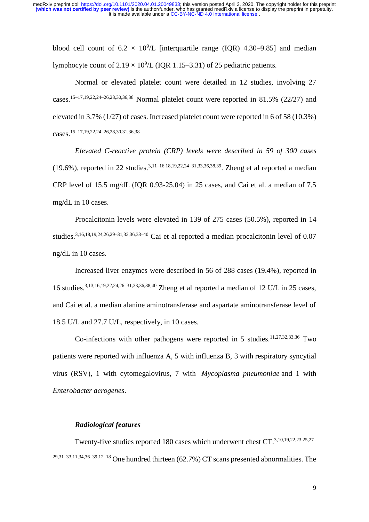blood cell count of  $6.2 \times 10^9$ /L [interquartile range (IQR) 4.30–9.85] and median lymphocyte count of  $2.19 \times 10^9$ /L (IQR 1.15–3.31) of 25 pediatric patients.

Normal or elevated platelet count were detailed in 12 studies, involving 27 cases.<sup>15–17,19,22,24–26,28,30,36,38</sup> Normal platelet count were reported in 81.5% (22/27) and elevated in 3.7% (1/27) of cases. Increased platelet count were reported in 6 of 58 (10.3%) cases.15–17,19,22,24–26,28,30,31,36,38

*Elevated C-reactive protein (CRP) levels were described in 59 of 300 cases* (19.6%), reported in 22 studies.3,11–16,18,19,22,24–31,33,36,38,39. Zheng et al reported a median CRP level of 15.5 mg/dL (IQR 0.93-25.04) in 25 cases, and Cai et al. a median of 7.5 mg/dL in 10 cases.

Procalcitonin levels were elevated in 139 of 275 cases (50.5%), reported in 14 studies.<sup>3,16,18,19,24,26,29–31,33,36,38–40</sup> Cai et al reported a median procalcitonin level of 0.07 ng/dL in 10 cases.

Increased liver enzymes were described in 56 of 288 cases (19.4%), reported in 16 studies.3,13,16,19,22,24,26–31,33,36,38,40 Zheng et al reported a median of 12 U/L in 25 cases, and Cai et al. a median alanine aminotransferase and aspartate aminotransferase level of 18.5 U/L and 27.7 U/L, respectively, in 10 cases.

Co-infections with other pathogens were reported in 5 studies.<sup>11,27,32,33,36</sup> Two patients were reported with influenza A, 5 with influenza B, 3 with respiratory syncytial virus (RSV), 1 with cytomegalovirus, 7 with *Mycoplasma pneumoniae* and 1 with *Enterobacter aerogenes*.

#### *Radiological features*

Twenty-five studies reported 180 cases which underwent chest CT.3,10,19,22,23,25,27–  $29,31-33,11,34,36-39,12-18$  One hundred thirteen (62.7%) CT scans presented abnormalities. The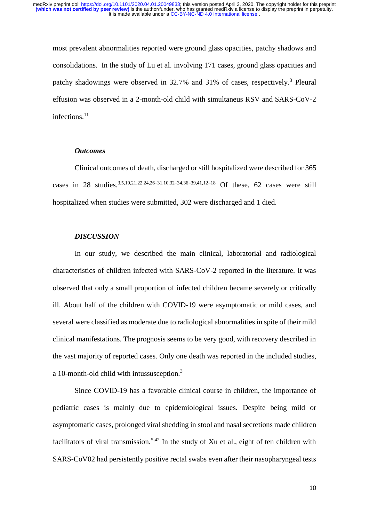most prevalent abnormalities reported were ground glass opacities, patchy shadows and consolidations. In the study of Lu et al. involving 171 cases, ground glass opacities and patchy shadowings were observed in 32.7% and 31% of cases, respectively.<sup>3</sup> Pleural effusion was observed in a 2-month-old child with simultaneus RSV and SARS-CoV-2 infections.<sup>11</sup>

#### *Outcomes*

 Clinical outcomes of death, discharged or still hospitalized were described for 365 cases in 28 studies.<sup>3,5,19,21,22,24,26–31,10,32–34,36–39,41,12–18</sup> Of these, 62 cases were still hospitalized when studies were submitted, 302 were discharged and 1 died.

## *DISCUSSION*

In our study, we described the main clinical, laboratorial and radiological characteristics of children infected with SARS-CoV-2 reported in the literature. It was observed that only a small proportion of infected children became severely or critically ill. About half of the children with COVID-19 were asymptomatic or mild cases, and several were classified as moderate due to radiological abnormalities in spite of their mild clinical manifestations. The prognosis seems to be very good, with recovery described in the vast majority of reported cases. Only one death was reported in the included studies, a 10-month-old child with intussusception.<sup>3</sup>

Since COVID-19 has a favorable clinical course in children, the importance of pediatric cases is mainly due to epidemiological issues. Despite being mild or asymptomatic cases, prolonged viral shedding in stool and nasal secretions made children facilitators of viral transmission.<sup>5,42</sup> In the study of Xu et al., eight of ten children with SARS-CoV02 had persistently positive rectal swabs even after their nasopharyngeal tests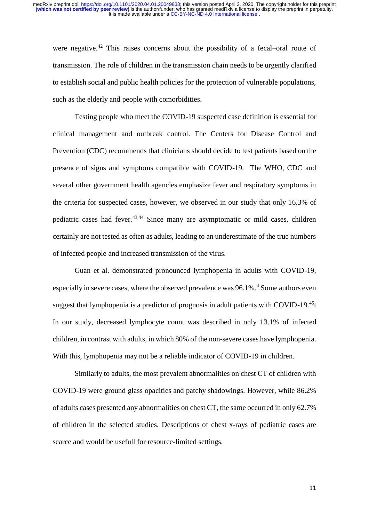were negative.<sup>42</sup> This raises concerns about the possibility of a fecal–oral route of transmission. The role of children in the transmission chain needs to be urgently clarified to establish social and public health policies for the protection of vulnerable populations, such as the elderly and people with comorbidities.

Testing people who meet the COVID-19 suspected case definition is essential for clinical management and outbreak control. The Centers for Disease Control and Prevention (CDC) recommends that clinicians should decide to test patients based on the presence of signs and symptoms compatible with COVID-19. The WHO, CDC and several other government health agencies emphasize fever and respiratory symptoms in the criteria for suspected cases, however, we observed in our study that only 16.3% of pediatric cases had fever.43,44 Since many are asymptomatic or mild cases, children certainly are not tested as often as adults, leading to an underestimate of the true numbers of infected people and increased transmission of the virus.

Guan et al. demonstrated pronounced lymphopenia in adults with COVID-19, especially in severe cases, where the observed prevalence was 96.1%.<sup>4</sup> Some authors even suggest that lymphopenia is a predictor of prognosis in adult patients with COVID-19.<sup>45</sup>t In our study, decreased lymphocyte count was described in only 13.1% of infected children, in contrast with adults, in which 80% of the non-severe cases have lymphopenia. With this, lymphopenia may not be a reliable indicator of COVID-19 in children.

Similarly to adults, the most prevalent abnormalities on chest CT of children with COVID-19 were ground glass opacities and patchy shadowings. However, while 86.2% of adults cases presented any abnormalities on chest CT, the same occurred in only 62.7% of children in the selected studies. Descriptions of chest x-rays of pediatric cases are scarce and would be usefull for resource-limited settings.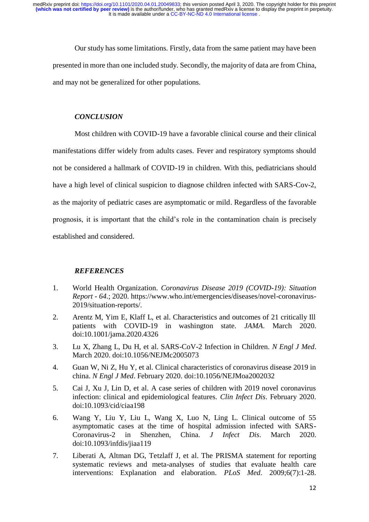Our study has some limitations. Firstly, data from the same patient may have been presented in more than one included study. Secondly, the majority of data are from China, and may not be generalized for other populations.

## *CONCLUSION*

Most children with COVID-19 have a favorable clinical course and their clinical manifestations differ widely from adults cases. Fever and respiratory symptoms should not be considered a hallmark of COVID-19 in children. With this, pediatricians should have a high level of clinical suspicion to diagnose children infected with SARS-Cov-2, as the majority of pediatric cases are asymptomatic or mild. Regardless of the favorable prognosis, it is important that the child's role in the contamination chain is precisely established and considered.

## *REFERENCES*

- 1. World Health Organization. *Coronavirus Disease 2019 (COVID-19): Situation Report - 64*.; 2020. https://www.who.int/emergencies/diseases/novel-coronavirus-2019/situation-reports/.
- 2. Arentz M, Yim E, Klaff L, et al. Characteristics and outcomes of 21 critically Ill patients with COVID-19 in washington state. *JAMA*. March 2020. doi:10.1001/jama.2020.4326
- 3. Lu X, Zhang L, Du H, et al. SARS-CoV-2 Infection in Children. *N Engl J Med*. March 2020. doi:10.1056/NEJMc2005073
- 4. Guan W, Ni Z, Hu Y, et al. Clinical characteristics of coronavirus disease 2019 in china. *N Engl J Med*. February 2020. doi:10.1056/NEJMoa2002032
- 5. Cai J, Xu J, Lin D, et al. A case series of children with 2019 novel coronavirus infection: clinical and epidemiological features. *Clin Infect Dis*. February 2020. doi:10.1093/cid/ciaa198
- 6. Wang Y, Liu Y, Liu L, Wang X, Luo N, Ling L. Clinical outcome of 55 asymptomatic cases at the time of hospital admission infected with SARS-Coronavirus-2 in Shenzhen, China. *J Infect Dis*. March 2020. doi:10.1093/infdis/jiaa119
- 7. Liberati A, Altman DG, Tetzlaff J, et al. The PRISMA statement for reporting systematic reviews and meta-analyses of studies that evaluate health care interventions: Explanation and elaboration. *PLoS Med*. 2009;6(7):1-28.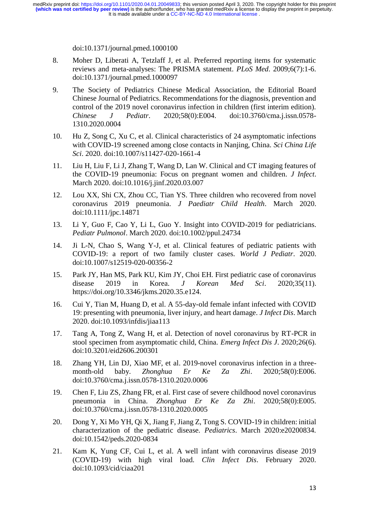It is made available under a [CC-BY-NC-ND 4.0 International license](http://creativecommons.org/licenses/by-nc-nd/4.0/) . medRxiv preprint doi: [https://doi.org/10.1101/2020.04.01.20049833;](https://doi.org/10.1101/2020.04.01.20049833) this version posted April 3, 2020. The copyright holder for this preprint<br>(which was not certified by peer review) is the author/funder, who has granted me

doi:10.1371/journal.pmed.1000100

- 8. Moher D, Liberati A, Tetzlaff J, et al. Preferred reporting items for systematic reviews and meta-analyses: The PRISMA statement. *PLoS Med*. 2009;6(7):1-6. doi:10.1371/journal.pmed.1000097
- 9. The Society of Pediatrics Chinese Medical Association, the Editorial Board Chinese Journal of Pediatrics. Recommendations for the diagnosis, prevention and control of the 2019 novel coronavirus infection in children (first interim edition). *Chinese J Pediatr*. 2020;58(0):E004. doi:10.3760/cma.j.issn.0578- 1310.2020.0004
- 10. Hu Z, Song C, Xu C, et al. Clinical characteristics of 24 asymptomatic infections with COVID-19 screened among close contacts in Nanjing, China. *Sci China Life Sci*. 2020. doi:10.1007/s11427-020-1661-4
- 11. Liu H, Liu F, Li J, Zhang T, Wang D, Lan W. Clinical and CT imaging features of the COVID-19 pneumonia: Focus on pregnant women and children. *J Infect*. March 2020. doi:10.1016/j.jinf.2020.03.007
- 12. Lou XX, Shi CX, Zhou CC, Tian YS. Three children who recovered from novel coronavirus 2019 pneumonia. *J Paediatr Child Health*. March 2020. doi:10.1111/jpc.14871
- 13. Li Y, Guo F, Cao Y, Li L, Guo Y. Insight into COVID-2019 for pediatricians. *Pediatr Pulmonol*. March 2020. doi:10.1002/ppul.24734
- 14. Ji L-N, Chao S, Wang Y-J, et al. Clinical features of pediatric patients with COVID-19: a report of two family cluster cases. *World J Pediatr*. 2020. doi:10.1007/s12519-020-00356-2
- 15. Park JY, Han MS, Park KU, Kim JY, Choi EH. First pediatric case of coronavirus disease 2019 in Korea. *J Korean Med Sci*. 2020;35(11). https://doi.org/10.3346/jkms.2020.35.e124.
- 16. Cui Y, Tian M, Huang D, et al. A 55-day-old female infant infected with COVID 19: presenting with pneumonia, liver injury, and heart damage. *J Infect Dis*. March 2020. doi:10.1093/infdis/jiaa113
- 17. Tang A, Tong Z, Wang H, et al. Detection of novel coronavirus by RT-PCR in stool specimen from asymptomatic child, China. *Emerg Infect Dis J*. 2020;26(6). doi:10.3201/eid2606.200301
- 18. Zhang YH, Lin DJ, Xiao MF, et al. 2019-novel coronavirus infection in a threemonth-old baby. *Zhonghua Er Ke Za Zhi*. 2020;58(0):E006. doi:10.3760/cma.j.issn.0578-1310.2020.0006
- 19. Chen F, Liu ZS, Zhang FR, et al. First case of severe childhood novel coronavirus pneumonia in China. *Zhonghua Er Ke Za Zhi*. 2020;58(0):E005. doi:10.3760/cma.j.issn.0578-1310.2020.0005
- 20. Dong Y, Xi Mo YH, Qi X, Jiang F, Jiang Z, Tong S. COVID-19 in children: initial characterization of the pediatric disease. *Pediatrics*. March 2020:e20200834. doi:10.1542/peds.2020-0834
- 21. Kam K, Yung CF, Cui L, et al. A well infant with coronavirus disease 2019 (COVID-19) with high viral load. *Clin Infect Dis*. February 2020. doi:10.1093/cid/ciaa201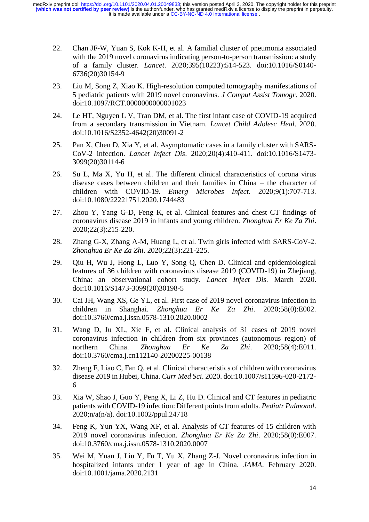- 22. Chan JF-W, Yuan S, Kok K-H, et al. A familial cluster of pneumonia associated with the 2019 novel coronavirus indicating person-to-person transmission: a study of a family cluster. *Lancet*. 2020;395(10223):514-523. doi:10.1016/S0140- 6736(20)30154-9
- 23. Liu M, Song Z, Xiao K. High-resolution computed tomography manifestations of 5 pediatric patients with 2019 novel coronavirus. *J Comput Assist Tomogr*. 2020. doi:10.1097/RCT.0000000000001023
- 24. Le HT, Nguyen L V, Tran DM, et al. The first infant case of COVID-19 acquired from a secondary transmission in Vietnam. *Lancet Child Adolesc Heal*. 2020. doi:10.1016/S2352-4642(20)30091-2
- 25. Pan X, Chen D, Xia Y, et al. Asymptomatic cases in a family cluster with SARS-CoV-2 infection. *Lancet Infect Dis*. 2020;20(4):410-411. doi:10.1016/S1473- 3099(20)30114-6
- 26. Su L, Ma X, Yu H, et al. The different clinical characteristics of corona virus disease cases between children and their families in China – the character of children with COVID-19. *Emerg Microbes Infect*. 2020;9(1):707-713. doi:10.1080/22221751.2020.1744483
- 27. Zhou Y, Yang G-D, Feng K, et al. Clinical features and chest CT findings of coronavirus disease 2019 in infants and young children. *Zhonghua Er Ke Za Zhi*. 2020;22(3):215-220.
- 28. Zhang G-X, Zhang A-M, Huang L, et al. Twin girls infected with SARS-CoV-2. *Zhonghua Er Ke Za Zhi*. 2020;22(3):221-225.
- 29. Qiu H, Wu J, Hong L, Luo Y, Song Q, Chen D. Clinical and epidemiological features of 36 children with coronavirus disease 2019 (COVID-19) in Zhejiang, China: an observational cohort study. *Lancet Infect Dis*. March 2020. doi:10.1016/S1473-3099(20)30198-5
- 30. Cai JH, Wang XS, Ge YL, et al. First case of 2019 novel coronavirus infection in children in Shanghai. *Zhonghua Er Ke Za Zhi*. 2020;58(0):E002. doi:10.3760/cma.j.issn.0578-1310.2020.0002
- 31. Wang D, Ju XL, Xie F, et al. Clinical analysis of 31 cases of 2019 novel coronavirus infection in children from six provinces (autonomous region) of northern China. *Zhonghua Er Ke Za Zhi*. 2020;58(4):E011. doi:10.3760/cma.j.cn112140-20200225-00138
- 32. Zheng F, Liao C, Fan Q, et al. Clinical characteristics of children with coronavirus disease 2019 in Hubei, China. *Curr Med Sci*. 2020. doi:10.1007/s11596-020-2172- 6
- 33. Xia W, Shao J, Guo Y, Peng X, Li Z, Hu D. Clinical and CT features in pediatric patients with COVID-19 infection: Different points from adults. *Pediatr Pulmonol*. 2020;n/a(n/a). doi:10.1002/ppul.24718
- 34. Feng K, Yun YX, Wang XF, et al. Analysis of CT features of 15 children with 2019 novel coronavirus infection. *Zhonghua Er Ke Za Zhi*. 2020;58(0):E007. doi:10.3760/cma.j.issn.0578-1310.2020.0007
- 35. Wei M, Yuan J, Liu Y, Fu T, Yu X, Zhang Z-J. Novel coronavirus infection in hospitalized infants under 1 year of age in China. *JAMA*. February 2020. doi:10.1001/jama.2020.2131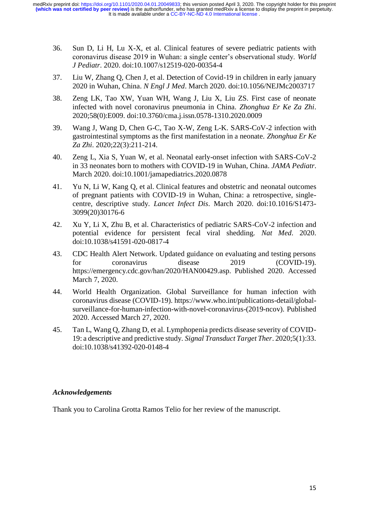- 36. Sun D, Li H, Lu X-X, et al. Clinical features of severe pediatric patients with coronavirus disease 2019 in Wuhan: a single center's observational study. *World J Pediatr*. 2020. doi:10.1007/s12519-020-00354-4
- 37. Liu W, Zhang Q, Chen J, et al. Detection of Covid-19 in children in early january 2020 in Wuhan, China. *N Engl J Med*. March 2020. doi:10.1056/NEJMc2003717
- 38. Zeng LK, Tao XW, Yuan WH, Wang J, Liu X, Liu ZS. First case of neonate infected with novel coronavirus pneumonia in China. *Zhonghua Er Ke Za Zhi*. 2020;58(0):E009. doi:10.3760/cma.j.issn.0578-1310.2020.0009
- 39. Wang J, Wang D, Chen G-C, Tao X-W, Zeng L-K. SARS-CoV-2 infection with gastrointestinal symptoms as the first manifestation in a neonate. *Zhonghua Er Ke Za Zhi*. 2020;22(3):211-214.
- 40. Zeng L, Xia S, Yuan W, et al. Neonatal early-onset infection with SARS-CoV-2 in 33 neonates born to mothers with COVID-19 in Wuhan, China. *JAMA Pediatr*. March 2020. doi:10.1001/jamapediatrics.2020.0878
- 41. Yu N, Li W, Kang Q, et al. Clinical features and obstetric and neonatal outcomes of pregnant patients with COVID-19 in Wuhan, China: a retrospective, singlecentre, descriptive study. *Lancet Infect Dis*. March 2020. doi:10.1016/S1473- 3099(20)30176-6
- 42. Xu Y, Li X, Zhu B, et al. Characteristics of pediatric SARS-CoV-2 infection and potential evidence for persistent fecal viral shedding. *Nat Med*. 2020. doi:10.1038/s41591-020-0817-4
- 43. CDC Health Alert Network. Updated guidance on evaluating and testing persons for coronavirus disease 2019 (COVID-19). https://emergency.cdc.gov/han/2020/HAN00429.asp. Published 2020. Accessed March 7, 2020.
- 44. World Health Organization. Global Surveillance for human infection with coronavirus disease (COVID-19). https://www.who.int/publications-detail/globalsurveillance-for-human-infection-with-novel-coronavirus-(2019-ncov). Published 2020. Accessed March 27, 2020.
- 45. Tan L, Wang Q, Zhang D, et al. Lymphopenia predicts disease severity of COVID-19: a descriptive and predictive study. *Signal Transduct Target Ther*. 2020;5(1):33. doi:10.1038/s41392-020-0148-4

## *Acknowledgements*

Thank you to Carolina Grotta Ramos Telio for her review of the manuscript.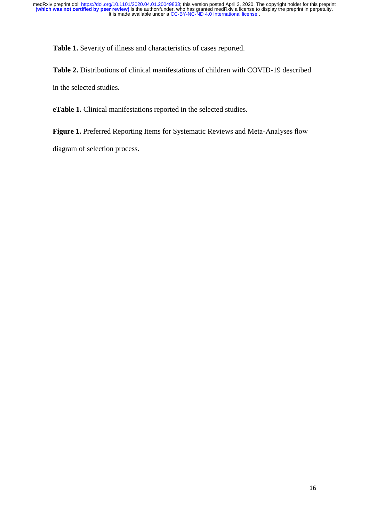**Table 1.** Severity of illness and characteristics of cases reported.

**Table 2.** Distributions of clinical manifestations of children with COVID-19 described in the selected studies.

**eTable 1.** Clinical manifestations reported in the selected studies.

**Figure 1.** Preferred Reporting Items for Systematic Reviews and Meta-Analyses flow

diagram of selection process.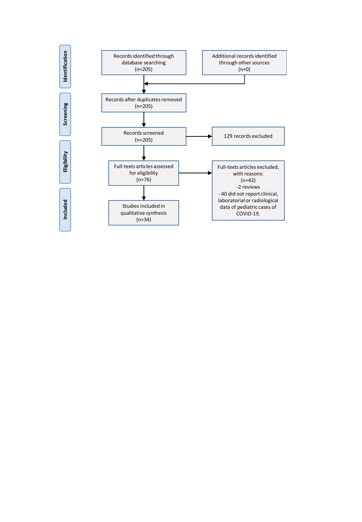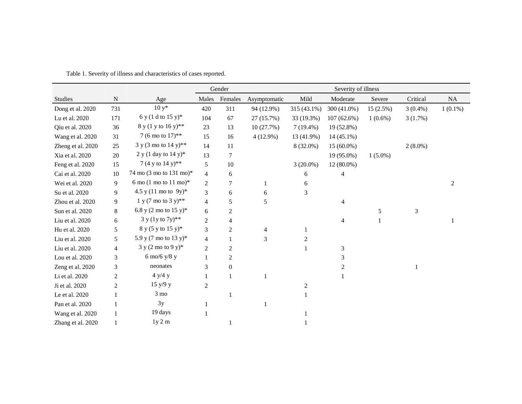|                   |                          |                                           |                | Gender         | Severity of illness |                |                |            |                |            |  |  |  |  |  |  |  |  |
|-------------------|--------------------------|-------------------------------------------|----------------|----------------|---------------------|----------------|----------------|------------|----------------|------------|--|--|--|--|--|--|--|--|
| Studies           | ${\bf N}$                | Age                                       | Males          | Females        | Asymptomatic        | Mild           | Moderate       | Severe     | Critical       | NA         |  |  |  |  |  |  |  |  |
| Dong et al. 2020  | 731                      | $10y*$                                    | 420            | 311            | 94 (12.9%)          | 315 (43.1%)    | 300 (41.0%)    | 15(2.5%)   | $3(0.4\%)$     | $1(0.1\%)$ |  |  |  |  |  |  |  |  |
| Lu et al. 2020    | 171                      | 6 y (1 d to 15 y)*                        | 104            | 67             | 27 (15.7%)          | 33 (19.3%)     | $107(62.6\%)$  | $1(0.6\%)$ | 3(1.7%)        |            |  |  |  |  |  |  |  |  |
| Qiu et al. 2020   | 36                       | 8 y (1 y to 16 y)**                       | 23             | 13             | 10(27.7%)           | $7(19.4\%)$    | 19 (52.8%)     |            |                |            |  |  |  |  |  |  |  |  |
| Wang et al. 2020  | 31                       | 7 (6 mo to 17)**                          | 15             | 16             | 4(12.9%)            | 13 (41.9%)     | $14(45.1\%)$   |            |                |            |  |  |  |  |  |  |  |  |
| Zheng et al. 2020 | 25                       | 3 y (3 mo to 14 y)**                      | 14             | 11             |                     | 8 (32.0%)      | $15(60.0\%)$   |            | $2(8.0\%)$     |            |  |  |  |  |  |  |  |  |
| Xia et al. 2020   | 20                       | 2 y (1 day to 14 y)*                      | 13             | $\overline{7}$ |                     |                | 19 (95.0%)     | $1(5.0\%)$ |                |            |  |  |  |  |  |  |  |  |
| Feng et al. 2020  | 15                       | 7 (4 y to 14 y)**                         | 5              | 10             |                     | $3(20.0\%)$    | $12(80.0\%)$   |            |                |            |  |  |  |  |  |  |  |  |
| Cai et al. 2020   | 10                       | 74 mo (3 mo to 131 mo)*                   | $\overline{4}$ | 6              |                     | 6              | 4              |            |                |            |  |  |  |  |  |  |  |  |
| Wei et al. 2020   | 9                        | 6 mo $(1 \text{ mo to } 11 \text{ mo})^*$ | $\overline{2}$ | 7              | 1                   | 6              |                |            |                | 2          |  |  |  |  |  |  |  |  |
| Su et al. 2020    | 9                        | 4.5 y $(11 \text{ mo to } 9y)^*$          | 3              | 6              | 6                   | 3              |                |            |                |            |  |  |  |  |  |  |  |  |
| Zhou et al. 2020  | 9                        | $1 y (7 \text{ mo to } 3 y)$ **           | $\overline{4}$ | 5              | 5                   |                | 4              |            |                |            |  |  |  |  |  |  |  |  |
| Sun et al. 2020   | 8                        | 6.8 y (2 mo to 15 y)*                     | 6              | $\overline{c}$ |                     |                |                | $\sqrt{5}$ | $\mathfrak{Z}$ |            |  |  |  |  |  |  |  |  |
| Liu et al. 2020   | 6                        | $3 y (1y to 7y)$ **                       | $\overline{c}$ | 4              |                     |                | 4              |            |                |            |  |  |  |  |  |  |  |  |
| Hu et al. 2020    | 5                        | 8 y (5 y to 15 y)*                        | 3              | 2              | 4                   |                |                |            |                |            |  |  |  |  |  |  |  |  |
| Liu et al. 2020   | 5                        | 5.9 y (7 mo to 13 y)*                     | $\overline{4}$ | 1              | 3                   | $\overline{c}$ |                |            |                |            |  |  |  |  |  |  |  |  |
| Liu et al. 2020   | $\overline{\mathcal{L}}$ | $3 y (2 \text{ mo to } 9 \text{ y})$ *    | $\overline{2}$ | 2              |                     |                | 3              |            |                |            |  |  |  |  |  |  |  |  |
| Lou et al. 2020   | 3                        | $6 \text{ mo}/6 \text{ y}/8 \text{ y}$    | $\mathbf{1}$   | $\overline{c}$ |                     |                | 3              |            |                |            |  |  |  |  |  |  |  |  |
| Zeng et al. 2020  | 3                        | neonates                                  | 3              | $\mathbf{0}$   |                     |                | $\overline{c}$ |            |                |            |  |  |  |  |  |  |  |  |
| Li et al. 2020    | $\overline{c}$           | 4 y/4 y                                   |                | 1              | 1                   |                |                |            |                |            |  |  |  |  |  |  |  |  |
| Ji et al. 2020    | $\overline{c}$           | 15 y/9 y                                  | $\overline{2}$ |                |                     | 2              |                |            |                |            |  |  |  |  |  |  |  |  |
| Le et al. 2020    |                          | $3 \text{ mo}$                            |                | 1              |                     |                |                |            |                |            |  |  |  |  |  |  |  |  |
| Pan et al. 2020   |                          | 3y                                        |                |                |                     |                |                |            |                |            |  |  |  |  |  |  |  |  |
| Wang et al. 2020  |                          | 19 days                                   |                |                |                     |                |                |            |                |            |  |  |  |  |  |  |  |  |
| Zhang et al. 2020 |                          | $1y2 \mbox{ m}$                           |                |                |                     |                |                |            |                |            |  |  |  |  |  |  |  |  |

Table 1. Severity of illness and characteristics of cases reported.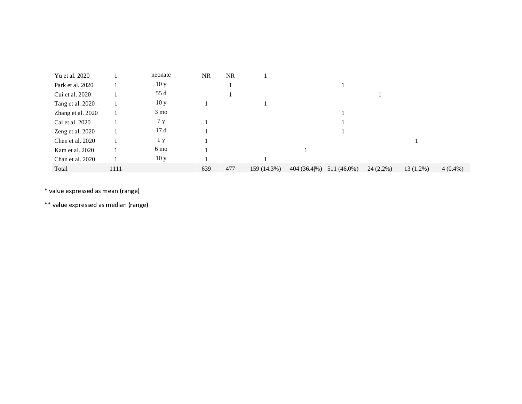| Yu et al. 2020    |      | neonate         | <b>NR</b> | <b>NR</b> |             |              |             |             |             |            |
|-------------------|------|-----------------|-----------|-----------|-------------|--------------|-------------|-------------|-------------|------------|
| Park et al. 2020  |      | 10y             |           |           |             |              |             |             |             |            |
| Cui et al. 2020   |      | 55 d            |           |           |             |              |             |             |             |            |
| Tang et al. 2020  |      | 10y             |           |           |             |              |             |             |             |            |
| Zhang et al. 2020 |      | $3 \text{ mo}$  |           |           |             |              |             |             |             |            |
| Cai et al. 2020   |      | 7y              |           |           |             |              |             |             |             |            |
| Zeng et al. 2020  |      | 17d             |           |           |             |              |             |             |             |            |
| Chen et al. 2020  |      | 1 y             |           |           |             |              |             |             |             |            |
| Kam et al. 2020   |      | 6 mo            |           |           |             |              |             |             |             |            |
| Chan et al. 2020  |      | 10 <sub>y</sub> |           |           |             |              |             |             |             |            |
| Total             | 1111 |                 | 639       | 477       | 159 (14.3%) | 404 (36.4\%) | 511 (46.0%) | $24(2.2\%)$ | $13(1.2\%)$ | $4(0.4\%)$ |

\* value expressed as mean (range)

\*\* value expressed as median (range)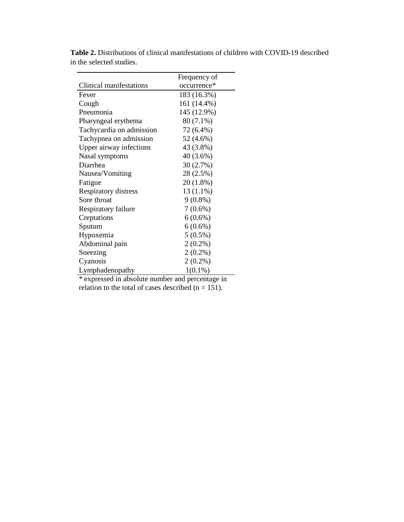|                          | Frequency of |
|--------------------------|--------------|
| Clinical manifestations  | occurrence*  |
| Fever                    | 183 (16.3%)  |
| Cough                    | 161 (14.4%)  |
| Pneumonia                | 145 (12.9%)  |
| Pharyngeal erythema      | 80 (7.1%)    |
| Tachycardia on admission | 72 (6.4%)    |
| Tachypnea on admission   | 52 (4.6%)    |
| Upper airway infections  | 43 (3.8%)    |
| Nasal symptoms           | 40 (3.6%)    |
| Diarrhea                 | 30 (2.7%)    |
| Nausea/Vomiting          | 28 (2.5%)    |
| Fatigue                  | 20 (1.8%)    |
| Respiratory distress     | 13 (1.1%)    |
| Sore throat              | $9(0.8\%)$   |
| Respiratory failure      | $7(0.6\%)$   |
| Creptations              | $6(0.6\%)$   |
| Sputum                   | $6(0.6\%)$   |
| Hypoxemia                | $5(0.5\%)$   |
| Abdominal pain           | $2(0.2\%)$   |
| Sneezing                 | $2(0.2\%)$   |
| Cyanosis                 | $2(0.2\%)$   |
| Lymphadenopathy          | $1(0.1\%)$   |

**Table 2.** Distributions of clinical manifestations of children with COVID-19 described in the selected studies.

\* expressed in absolute number and percentage in relation to the total of cases described  $(n = 151)$ .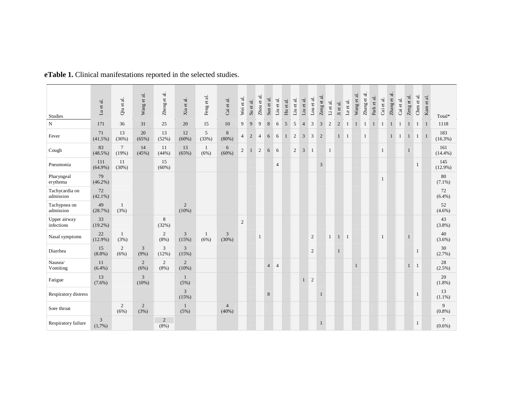| Studies                     | $\overline{\text{a}}$<br>$\vec{v}$<br>$\overline{z}$ | Qiu et al.             | Wang et al.                | $\vec{a}$<br>Zheng et  | Xia et al.              | Feng et al.          | Cai et al.              | Wei et al.     | Su et al.    | Zhou et al.    | Sun et al.     | Liu et al.     | Hu et al.    | Liu et al.   | Liu et al.     | Lou et al.     | Zeng et al.    | Li et al.      | Ji et al.    | Le et al.    | Wang et al. $\,$ | Zhang et al. | Park et al.  | Cui et al.   | Zhang et al. | Cai et al.     | Zeng et al.  | Chen et al.  | Kam et al.   | Total*                      |
|-----------------------------|------------------------------------------------------|------------------------|----------------------------|------------------------|-------------------------|----------------------|-------------------------|----------------|--------------|----------------|----------------|----------------|--------------|--------------|----------------|----------------|----------------|----------------|--------------|--------------|------------------|--------------|--------------|--------------|--------------|----------------|--------------|--------------|--------------|-----------------------------|
| $\mathbf N$                 | 171                                                  | 36                     | 31                         | 25                     | 20                      | 15                   | 10                      | 9              | 9            | 9              | $\,8\,$        | 6              | 5            | 5            | $\overline{4}$ | 3              | 3              | $\overline{2}$ | $\sqrt{2}$   | $\mathbf{1}$ | $\mathbf{T}$     | $\mathbf{1}$ | $\mathbf{1}$ | $\mathbf{1}$ | $\mathbf{1}$ | $\overline{1}$ |              | $1 \quad 1$  |              | 1118                        |
| Fever                       | 71<br>$(41.5\%)$                                     | 13<br>(36%)            | 20<br>(65%)                | 13<br>(52%)            | 12<br>(60%)             | $\sqrt{5}$<br>(33%)  | $\,8\,$<br>(80%)        | $\overline{4}$ | $\mathbf{2}$ | $\overline{4}$ | 6              | 6              | $\mathbf{1}$ | 2            | 3              | 3              | $\overline{2}$ |                | $\mathbf{1}$ | $\vert$ 1    |                  | $\mathbf{1}$ |              |              | 1            | $\mathbf{1}$   | $\mathbf{1}$ | 1            | $\mathbf{1}$ | 183<br>$(16.3\%)$           |
| Cough                       | 83<br>$(48.5\%)$                                     | $\tau$<br>(19%)        | 14<br>(45%)                | 11<br>(44%)            | 13<br>(65%)             | $\mathbf{1}$<br>(6%) | 6<br>$(60\%)$           | $\overline{2}$ | $\mathbf{1}$ | 2              | 6              | 6              |              | $\mathbf{2}$ | 3              | $\overline{1}$ |                | $\mathbf{1}$   |              |              |                  |              |              | $\mathbf{1}$ |              |                | $\mathbf{1}$ |              |              | 161<br>$(14.4\%)$           |
| Pneumonia                   | 111<br>$(64.9\%)$                                    | 11<br>(30%)            |                            | 15<br>(60%)            |                         |                      |                         |                |              |                |                | $\overline{4}$ |              |              |                |                | 3              |                |              |              |                  |              |              |              |              |                |              | $\mathbf{1}$ |              | 145<br>$(12.9\%)$           |
| Pharyngeal<br>erythema      | 79<br>$(46.2\%)$                                     |                        |                            |                        |                         |                      |                         |                |              |                |                |                |              |              |                |                |                |                |              |              |                  |              |              | $\mathbf{1}$ |              |                |              |              |              | 80<br>$(7.1\%)$             |
| Tachycardia on<br>admission | 72<br>$(42.1\%)$                                     |                        |                            |                        |                         |                      |                         |                |              |                |                |                |              |              |                |                |                |                |              |              |                  |              |              |              |              |                |              |              |              | 72<br>$(6.4\%)$             |
| Tachypnea on<br>admission   | 49<br>(28.7%)                                        | 1<br>(3%)              |                            |                        | $\overline{2}$<br>(10%) |                      |                         |                |              |                |                |                |              |              |                |                |                |                |              |              |                  |              |              |              |              |                |              |              |              | 52<br>$(4.6\%)$             |
| Upper airway<br>infections  | 33<br>$(19.2\%)$                                     |                        |                            | 8<br>(32%)             |                         |                      |                         | $\overline{2}$ |              |                |                |                |              |              |                |                |                |                |              |              |                  |              |              |              |              |                |              |              |              | 43<br>(3.8%)                |
| Nasal symptoms              | 22<br>$(12.9\%)$                                     | $\mathbf{1}$<br>(3%)   |                            | 2<br>(8%)              | 3<br>(15%)              | $\mathbf{1}$<br>(6%) | 3<br>(30%)              |                |              | 1              |                |                |              |              |                | 2              |                | $\mathbf{1}$   | $\mathbf{1}$ | $\mathbf{1}$ |                  |              |              | $\mathbf{1}$ |              |                | $\mathbf{1}$ |              |              | 40<br>$(3.6\%)$             |
| Diarrhea                    | 15<br>(8.8%)                                         | 2<br>(6%)              | 3<br>(9%)                  | 3<br>(12%)             | $\overline{3}$<br>(15%) |                      |                         |                |              |                |                |                |              |              |                | 2              |                |                | $\mathbf{1}$ |              |                  |              |              |              |              |                |              | 1            |              | 30<br>(2.7%)                |
| Nausea/<br>Vomiting         | 11<br>$(6.4\%)$                                      |                        | 2<br>(6%)                  | 2<br>(8%)              | $\overline{c}$<br>(10%) |                      |                         |                |              |                | $\overline{4}$ | $\overline{4}$ |              |              |                |                |                |                |              |              | $\mathbf{1}$     |              |              |              |              |                | $\mathbf{1}$ | 1            |              | 28<br>$(2.5\%)$             |
| Fatigue                     | 13<br>$(7.6\%)$                                      |                        | $\overline{3}$<br>$(10\%)$ |                        | 1<br>(5%)               |                      |                         |                |              |                |                |                |              |              | $\mathbf{1}$   | $\overline{2}$ |                |                |              |              |                  |              |              |              |              |                |              |              |              | 20<br>$(1.8\%)$             |
| Respiratory distress        |                                                      |                        |                            |                        | 3<br>(15%)              |                      |                         |                |              |                | 8              |                |              |              |                |                |                |                |              |              |                  |              |              |              |              |                |              | 1            |              | 13<br>$(1.1\%)$             |
| Sore throat                 |                                                      | $\overline{c}$<br>(6%) | 2<br>(3%)                  |                        | 1<br>(5%)               |                      | $\overline{4}$<br>(40%) |                |              |                |                |                |              |              |                |                |                |                |              |              |                  |              |              |              |              |                |              |              |              | 9<br>$(0.8\%)$              |
| Respiratory failure         | $\overline{3}$<br>(1,7%)                             |                        |                            | $\overline{2}$<br>(8%) |                         |                      |                         |                |              |                |                |                |              |              |                |                | $\mathbf{1}$   |                |              |              |                  |              |              |              |              |                |              | $\mathbf{1}$ |              | $\overline{7}$<br>$(0.6\%)$ |

**eTable 1.** Clinical manifestations reported in the selected studies.